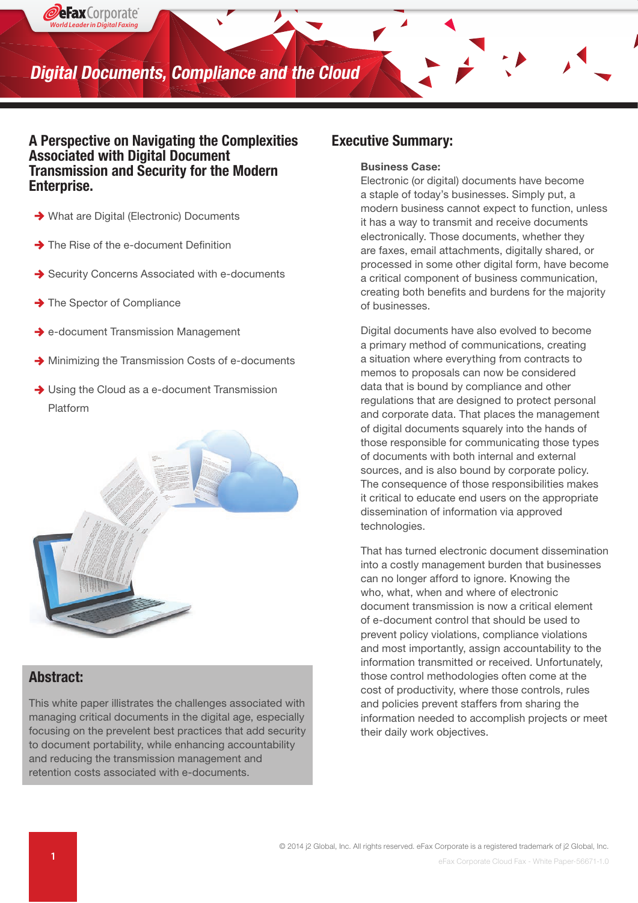

#### A Perspective on Navigating the Complexities Associated with Digital Document Transmission and Security for the Modern Enterprise.

- ◆ What are Digital (Electronic) Documents
- The Rise of the e-document Definition
- **→ Security Concerns Associated with e-documents**
- $\rightarrow$  The Spector of Compliance

*World Leader in Digital Faxing*

PeFax Corporate

- **→** e-document Transmission Management
- $\rightarrow$  Minimizing the Transmission Costs of e-documents
- **→ Using the Cloud as a e-document Transmission** Platform



#### Abstract:

This white paper illistrates the challenges associated with managing critical documents in the digital age, especially focusing on the prevelent best practices that add security to document portability, while enhancing accountability and reducing the transmission management and retention costs associated with e-documents.

#### Executive Summary:

#### Business Case:

Electronic (or digital) documents have become a staple of today's businesses. Simply put, a modern business cannot expect to function, unless it has a way to transmit and receive documents electronically. Those documents, whether they are faxes, email attachments, digitally shared, or processed in some other digital form, have become a critical component of business communication, creating both benefits and burdens for the majority of businesses.

Digital documents have also evolved to become a primary method of communications, creating a situation where everything from contracts to memos to proposals can now be considered data that is bound by compliance and other regulations that are designed to protect personal and corporate data. That places the management of digital documents squarely into the hands of those responsible for communicating those types of documents with both internal and external sources, and is also bound by corporate policy. The consequence of those responsibilities makes it critical to educate end users on the appropriate dissemination of information via approved technologies.

That has turned electronic document dissemination into a costly management burden that businesses can no longer afford to ignore. Knowing the who, what, when and where of electronic document transmission is now a critical element of e-document control that should be used to prevent policy violations, compliance violations and most importantly, assign accountability to the information transmitted or received. Unfortunately, those control methodologies often come at the cost of productivity, where those controls, rules and policies prevent staffers from sharing the information needed to accomplish projects or meet their daily work objectives.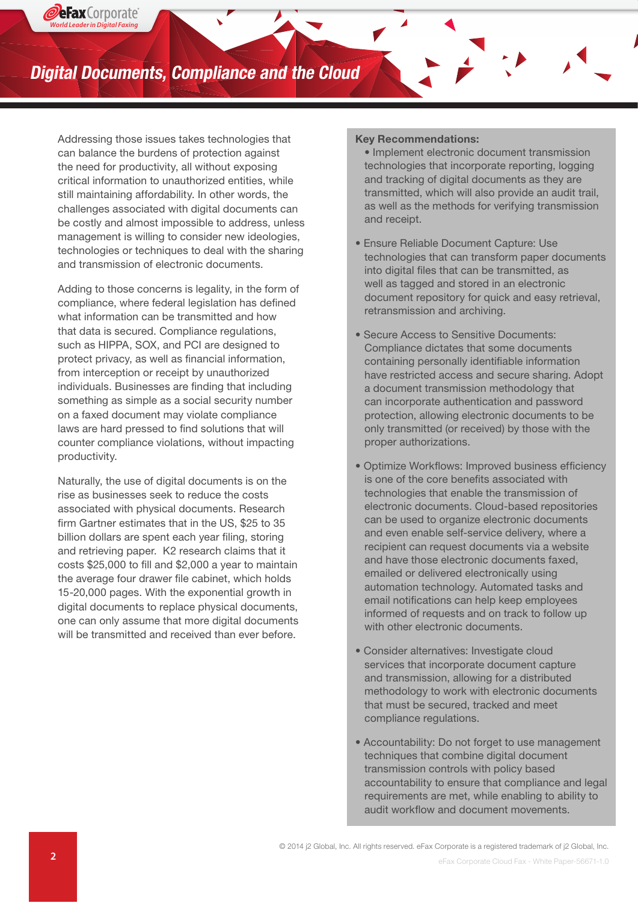# **Digital Documents, Compliance and the Cloud**

Addressing those issues takes technologies that can balance the burdens of protection against the need for productivity, all without exposing critical information to unauthorized entities, while still maintaining affordability. In other words, the challenges associated with digital documents can be costly and almost impossible to address, unless management is willing to consider new ideologies, technologies or techniques to deal with the sharing and transmission of electronic documents.

Adding to those concerns is legality, in the form of compliance, where federal legislation has defined what information can be transmitted and how that data is secured. Compliance regulations, such as HIPPA, SOX, and PCI are designed to protect privacy, as well as financial information, from interception or receipt by unauthorized individuals. Businesses are finding that including something as simple as a social security number on a faxed document may violate compliance laws are hard pressed to find solutions that will counter compliance violations, without impacting productivity.

Naturally, the use of digital documents is on the rise as businesses seek to reduce the costs associated with physical documents. Research firm Gartner estimates that in the US, \$25 to 35 billion dollars are spent each year filing, storing and retrieving paper. K2 research claims that it costs \$25,000 to fill and \$2,000 a year to maintain the average four drawer file cabinet, which holds 15-20,000 pages. With the exponential growth in digital documents to replace physical documents, one can only assume that more digital documents will be transmitted and received than ever before.

#### Key Recommendations:

• Implement electronic document transmission technologies that incorporate reporting, logging and tracking of digital documents as they are transmitted, which will also provide an audit trail, as well as the methods for verifying transmission and receipt.

- Ensure Reliable Document Capture: Use technologies that can transform paper documents into digital files that can be transmitted, as well as tagged and stored in an electronic document repository for quick and easy retrieval, retransmission and archiving.
- Secure Access to Sensitive Documents: Compliance dictates that some documents containing personally identifiable information have restricted access and secure sharing. Adopt a document transmission methodology that can incorporate authentication and password protection, allowing electronic documents to be only transmitted (or received) by those with the proper authorizations.
- Optimize Workflows: Improved business efficiency is one of the core benefits associated with technologies that enable the transmission of electronic documents. Cloud-based repositories can be used to organize electronic documents and even enable self-service delivery, where a recipient can request documents via a website and have those electronic documents faxed, emailed or delivered electronically using automation technology. Automated tasks and email notifications can help keep employees informed of requests and on track to follow up with other electronic documents.
- Consider alternatives: Investigate cloud services that incorporate document capture and transmission, allowing for a distributed methodology to work with electronic documents that must be secured, tracked and meet compliance regulations.
- Accountability: Do not forget to use management techniques that combine digital document transmission controls with policy based accountability to ensure that compliance and legal requirements are met, while enabling to ability to audit workflow and document movements.

© 2014 j2 Global, Inc. All rights reserved. eFax Corporate is a registered trademark of j2 Global, Inc.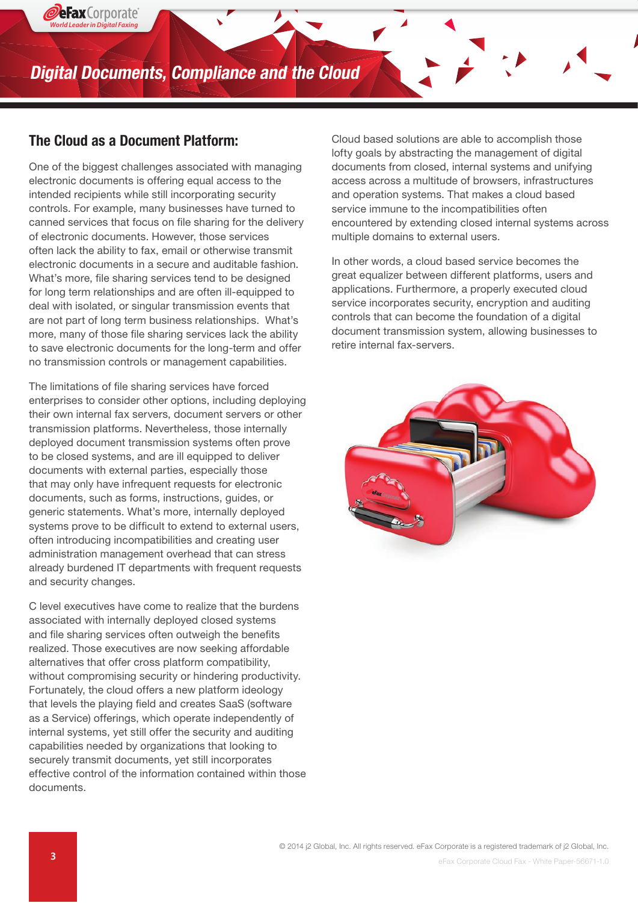**Digital Documents, Compliance and the Cloud**

#### The Cloud as a Document Platform:

*World Leader in Digital Faxing*

2**eFax** Corporate

One of the biggest challenges associated with managing electronic documents is offering equal access to the intended recipients while still incorporating security controls. For example, many businesses have turned to canned services that focus on file sharing for the delivery of electronic documents. However, those services often lack the ability to fax, email or otherwise transmit electronic documents in a secure and auditable fashion. What's more, file sharing services tend to be designed for long term relationships and are often ill-equipped to deal with isolated, or singular transmission events that are not part of long term business relationships. What's more, many of those file sharing services lack the ability to save electronic documents for the long-term and offer no transmission controls or management capabilities.

The limitations of file sharing services have forced enterprises to consider other options, including deploying their own internal fax servers, document servers or other transmission platforms. Nevertheless, those internally deployed document transmission systems often prove to be closed systems, and are ill equipped to deliver documents with external parties, especially those that may only have infrequent requests for electronic documents, such as forms, instructions, guides, or generic statements. What's more, internally deployed systems prove to be difficult to extend to external users, often introducing incompatibilities and creating user administration management overhead that can stress already burdened IT departments with frequent requests and security changes.

C level executives have come to realize that the burdens associated with internally deployed closed systems and file sharing services often outweigh the benefits realized. Those executives are now seeking affordable alternatives that offer cross platform compatibility, without compromising security or hindering productivity. Fortunately, the cloud offers a new platform ideology that levels the playing field and creates SaaS (software as a Service) offerings, which operate independently of internal systems, yet still offer the security and auditing capabilities needed by organizations that looking to securely transmit documents, yet still incorporates effective control of the information contained within those documents.

Cloud based solutions are able to accomplish those lofty goals by abstracting the management of digital documents from closed, internal systems and unifying access across a multitude of browsers, infrastructures and operation systems. That makes a cloud based service immune to the incompatibilities often encountered by extending closed internal systems across multiple domains to external users.

In other words, a cloud based service becomes the great equalizer between different platforms, users and applications. Furthermore, a properly executed cloud service incorporates security, encryption and auditing controls that can become the foundation of a digital document transmission system, allowing businesses to retire internal fax-servers.

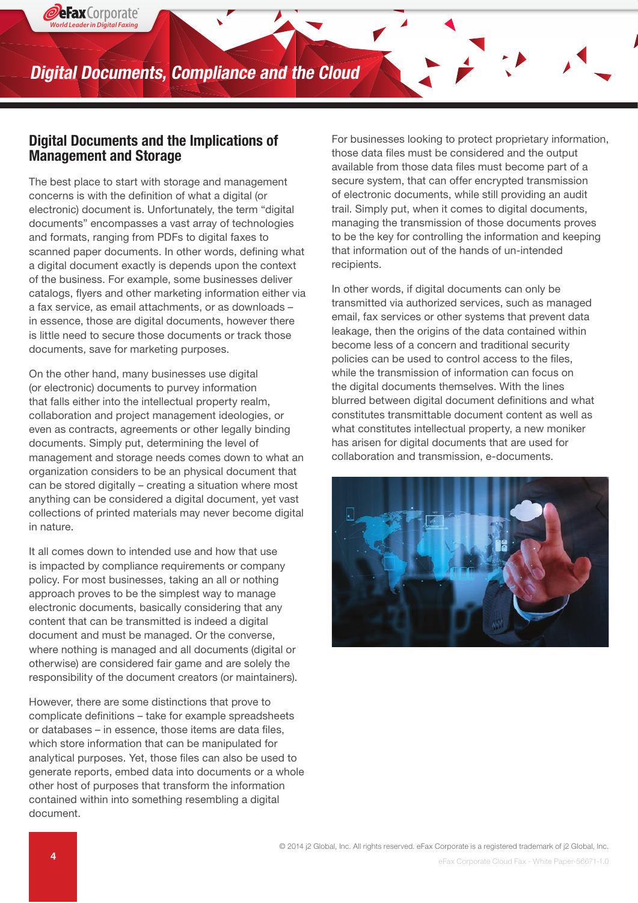#### Digital Documents and the Implications of Management and Storage

*World Leader in Digital Faxing*

2eFax Corporate

The best place to start with storage and management concerns is with the definition of what a digital (or electronic) document is. Unfortunately, the term "digital documents" encompasses a vast array of technologies and formats, ranging from PDFs to digital faxes to scanned paper documents. In other words, defining what a digital document exactly is depends upon the context of the business. For example, some businesses deliver catalogs, flyers and other marketing information either via a fax service, as email attachments, or as downloads – in essence, those are digital documents, however there is little need to secure those documents or track those documents, save for marketing purposes.

On the other hand, many businesses use digital (or electronic) documents to purvey information that falls either into the intellectual property realm, collaboration and project management ideologies, or even as contracts, agreements or other legally binding documents. Simply put, determining the level of management and storage needs comes down to what an organization considers to be an physical document that can be stored digitally – creating a situation where most anything can be considered a digital document, yet vast collections of printed materials may never become digital in nature.

It all comes down to intended use and how that use is impacted by compliance requirements or company policy. For most businesses, taking an all or nothing approach proves to be the simplest way to manage electronic documents, basically considering that any content that can be transmitted is indeed a digital document and must be managed. Or the converse, where nothing is managed and all documents (digital or otherwise) are considered fair game and are solely the responsibility of the document creators (or maintainers).

However, there are some distinctions that prove to complicate definitions – take for example spreadsheets or databases – in essence, those items are data files, which store information that can be manipulated for analytical purposes. Yet, those files can also be used to generate reports, embed data into documents or a whole other host of purposes that transform the information contained within into something resembling a digital document.

For businesses looking to protect proprietary information, those data files must be considered and the output available from those data files must become part of a secure system, that can offer encrypted transmission of electronic documents, while still providing an audit trail. Simply put, when it comes to digital documents, managing the transmission of those documents proves to be the key for controlling the information and keeping that information out of the hands of un-intended recipients.

In other words, if digital documents can only be transmitted via authorized services, such as managed email, fax services or other systems that prevent data leakage, then the origins of the data contained within become less of a concern and traditional security policies can be used to control access to the files, while the transmission of information can focus on the digital documents themselves. With the lines blurred between digital document definitions and what constitutes transmittable document content as well as what constitutes intellectual property, a new moniker has arisen for digital documents that are used for collaboration and transmission, e-documents.

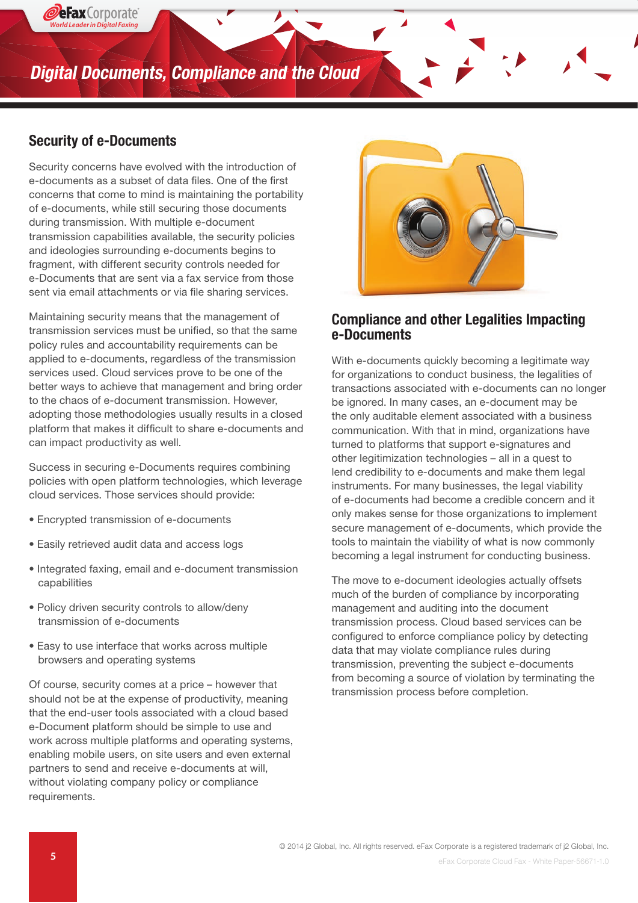# **Digital Documents, Compliance and the Cloud**

#### Security of e-Documents

*World Leader in Digital Faxing*

**DeFax** Corporate

Security concerns have evolved with the introduction of e-documents as a subset of data files. One of the first concerns that come to mind is maintaining the portability of e-documents, while still securing those documents during transmission. With multiple e-document transmission capabilities available, the security policies and ideologies surrounding e-documents begins to fragment, with different security controls needed for e-Documents that are sent via a fax service from those sent via email attachments or via file sharing services.

Maintaining security means that the management of transmission services must be unified, so that the same policy rules and accountability requirements can be applied to e-documents, regardless of the transmission services used. Cloud services prove to be one of the better ways to achieve that management and bring order to the chaos of e-document transmission. However, adopting those methodologies usually results in a closed platform that makes it difficult to share e-documents and can impact productivity as well.

Success in securing e-Documents requires combining policies with open platform technologies, which leverage cloud services. Those services should provide:

- Encrypted transmission of e-documents
- Easily retrieved audit data and access logs
- Integrated faxing, email and e-document transmission capabilities
- Policy driven security controls to allow/deny transmission of e-documents
- Easy to use interface that works across multiple browsers and operating systems

Of course, security comes at a price – however that should not be at the expense of productivity, meaning that the end-user tools associated with a cloud based e-Document platform should be simple to use and work across multiple platforms and operating systems, enabling mobile users, on site users and even external partners to send and receive e-documents at will, without violating company policy or compliance requirements.



#### Compliance and other Legalities Impacting e-Documents

With e-documents quickly becoming a legitimate way for organizations to conduct business, the legalities of transactions associated with e-documents can no longer be ignored. In many cases, an e-document may be the only auditable element associated with a business communication. With that in mind, organizations have turned to platforms that support e-signatures and other legitimization technologies – all in a quest to lend credibility to e-documents and make them legal instruments. For many businesses, the legal viability of e-documents had become a credible concern and it only makes sense for those organizations to implement secure management of e-documents, which provide the tools to maintain the viability of what is now commonly becoming a legal instrument for conducting business.

The move to e-document ideologies actually offsets much of the burden of compliance by incorporating management and auditing into the document transmission process. Cloud based services can be configured to enforce compliance policy by detecting data that may violate compliance rules during transmission, preventing the subject e-documents from becoming a source of violation by terminating the transmission process before completion.